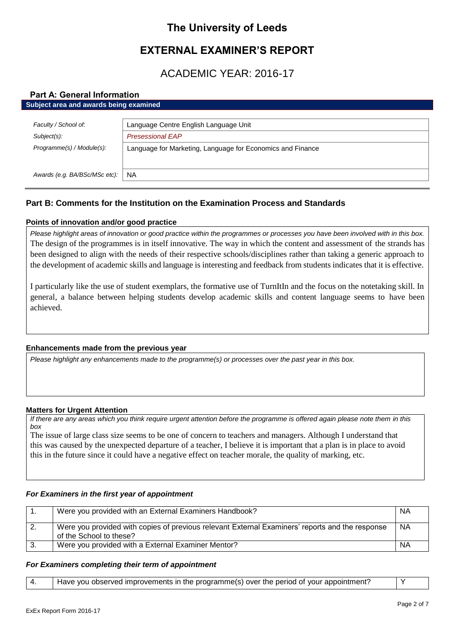# **The University of Leeds**

# **EXTERNAL EXAMINER'S REPORT**

# ACADEMIC YEAR: 2016-17

# **Part A: General Information**

| Subject area and awards being examined                     |  |  |
|------------------------------------------------------------|--|--|
|                                                            |  |  |
| Language Centre English Language Unit                      |  |  |
| <b>Presessional EAP</b>                                    |  |  |
| Language for Marketing, Language for Economics and Finance |  |  |
|                                                            |  |  |
|                                                            |  |  |
| <b>NA</b>                                                  |  |  |
|                                                            |  |  |

# **Part B: Comments for the Institution on the Examination Process and Standards**

# **Points of innovation and/or good practice**

*Please highlight areas of innovation or good practice within the programmes or processes you have been involved with in this box.* The design of the programmes is in itself innovative. The way in which the content and assessment of the strands has been designed to align with the needs of their respective schools/disciplines rather than taking a generic approach to the development of academic skills and language is interesting and feedback from students indicates that it is effective.

I particularly like the use of student exemplars, the formative use of TurnItIn and the focus on the notetaking skill. In general, a balance between helping students develop academic skills and content language seems to have been achieved.

# **Enhancements made from the previous year**

*Please highlight any enhancements made to the programme(s) or processes over the past year in this box.*

# **Matters for Urgent Attention**

*If there are any areas which you think require urgent attention before the programme is offered again please note them in this box*

The issue of large class size seems to be one of concern to teachers and managers. Although I understand that this was caused by the unexpected departure of a teacher, I believe it is important that a plan is in place to avoid this in the future since it could have a negative effect on teacher morale, the quality of marking, etc.

# *For Examiners in the first year of appointment*

|      | Were you provided with an External Examiners Handbook?                                                                     | <b>NA</b> |
|------|----------------------------------------------------------------------------------------------------------------------------|-----------|
| - 2. | Were you provided with copies of previous relevant External Examiners' reports and the response<br>of the School to these? | <b>NA</b> |
| -3.  | Were you provided with a External Examiner Mentor?                                                                         | NA        |

## *For Examiners completing their term of appointment*

| Have you observed improvements in the programme(s) over the period of your appointment? |  |
|-----------------------------------------------------------------------------------------|--|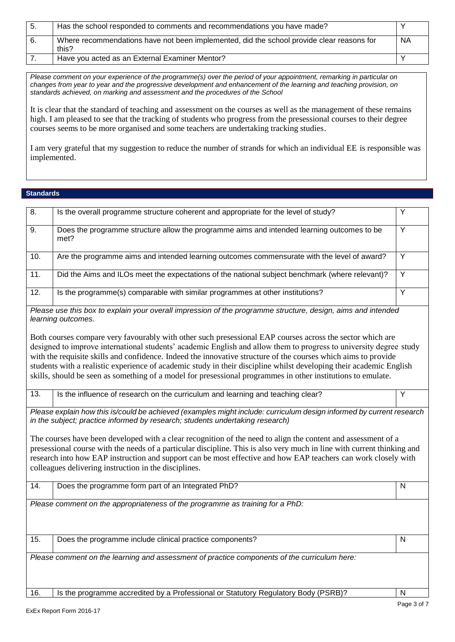| -5. | Has the school responded to comments and recommendations you have made?                            |           |
|-----|----------------------------------------------------------------------------------------------------|-----------|
| 6.  | Where recommendations have not been implemented, did the school provide clear reasons for<br>this? | <b>NA</b> |
|     | Have you acted as an External Examiner Mentor?                                                     |           |

*Please comment on your experience of the programme(s) over the period of your appointment, remarking in particular on changes from year to year and the progressive development and enhancement of the learning and teaching provision, on standards achieved, on marking and assessment and the procedures of the School*

It is clear that the standard of teaching and assessment on the courses as well as the management of these remains high. I am pleased to see that the tracking of students who progress from the presessional courses to their degree courses seems to be more organised and some teachers are undertaking tracking studies.

I am very grateful that my suggestion to reduce the number of strands for which an individual EE is responsible was implemented.

## **Standards**

| 8.                                                                                                                                                                                                                                                                                                                                                                                                                                                                                                                                                                                       | Is the overall programme structure coherent and appropriate for the level of study?                                                | Y              |
|------------------------------------------------------------------------------------------------------------------------------------------------------------------------------------------------------------------------------------------------------------------------------------------------------------------------------------------------------------------------------------------------------------------------------------------------------------------------------------------------------------------------------------------------------------------------------------------|------------------------------------------------------------------------------------------------------------------------------------|----------------|
| 9.                                                                                                                                                                                                                                                                                                                                                                                                                                                                                                                                                                                       | Υ<br>Does the programme structure allow the programme aims and intended learning outcomes to be<br>met?                            |                |
| 10.                                                                                                                                                                                                                                                                                                                                                                                                                                                                                                                                                                                      | Are the programme aims and intended learning outcomes commensurate with the level of award?                                        | Υ              |
| $\overline{11}$ .                                                                                                                                                                                                                                                                                                                                                                                                                                                                                                                                                                        | Did the Aims and ILOs meet the expectations of the national subject benchmark (where relevant)?                                    | $\overline{Y}$ |
| 12.                                                                                                                                                                                                                                                                                                                                                                                                                                                                                                                                                                                      | Is the programme(s) comparable with similar programmes at other institutions?                                                      | Υ              |
|                                                                                                                                                                                                                                                                                                                                                                                                                                                                                                                                                                                          | Please use this box to explain your overall impression of the programme structure, design, aims and intended<br>learning outcomes. |                |
| Both courses compare very favourably with other such presessional EAP courses across the sector which are<br>designed to improve international students' academic English and allow them to progress to university degree study<br>with the requisite skills and confidence. Indeed the innovative structure of the courses which aims to provide<br>students with a realistic experience of academic study in their discipline whilst developing their academic English<br>skills, should be seen as something of a model for presessional programmes in other institutions to emulate. |                                                                                                                                    |                |
| 13.                                                                                                                                                                                                                                                                                                                                                                                                                                                                                                                                                                                      | Is the influence of research on the curriculum and learning and teaching clear?                                                    | Y              |
| Please explain how this is/could be achieved (examples might include: curriculum design informed by current research<br>in the subject; practice informed by research; students undertaking research)                                                                                                                                                                                                                                                                                                                                                                                    |                                                                                                                                    |                |
| The courses have been developed with a clear recognition of the need to align the content and assessment of a<br>presessional course with the needs of a particular discipline. This is also very much in line with current thinking and<br>research into how EAP instruction and support can be most effective and how EAP teachers can work closely with<br>colleagues delivering instruction in the disciplines.                                                                                                                                                                      |                                                                                                                                    |                |
| 14.                                                                                                                                                                                                                                                                                                                                                                                                                                                                                                                                                                                      | Does the programme form part of an Integrated PhD?                                                                                 | Ν              |
| Please comment on the appropriateness of the programme as training for a PhD:                                                                                                                                                                                                                                                                                                                                                                                                                                                                                                            |                                                                                                                                    |                |
| 15.                                                                                                                                                                                                                                                                                                                                                                                                                                                                                                                                                                                      | Does the programme include clinical practice components?                                                                           | Ν              |
| Please comment on the learning and assessment of practice components of the curriculum here:                                                                                                                                                                                                                                                                                                                                                                                                                                                                                             |                                                                                                                                    |                |
| 16.                                                                                                                                                                                                                                                                                                                                                                                                                                                                                                                                                                                      | Is the programme accredited by a Professional or Statutory Regulatory Body (PSRB)?                                                 | N              |
|                                                                                                                                                                                                                                                                                                                                                                                                                                                                                                                                                                                          |                                                                                                                                    |                |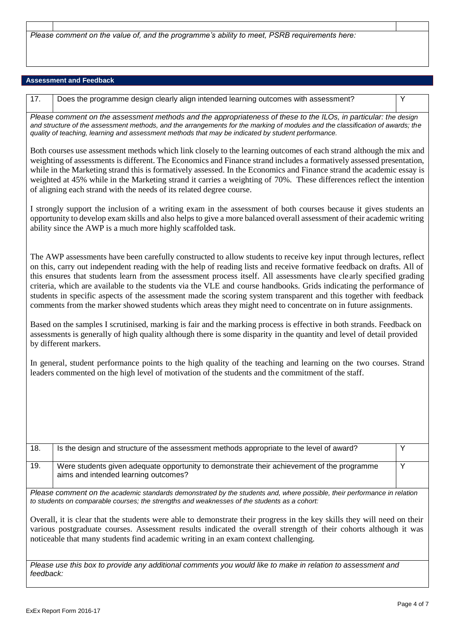*Please comment on the value of, and the programme's ability to meet, PSRB requirements here:*

## **Assessment and Feedback**

17. Does the programme design clearly align intended learning outcomes with assessment?

*Please comment on the assessment methods and the appropriateness of these to the ILOs, in particular: the design and structure of the assessment methods, and the arrangements for the marking of modules and the classification of awards; the quality of teaching, learning and assessment methods that may be indicated by student performance.*

Both courses use assessment methods which link closely to the learning outcomes of each strand although the mix and weighting of assessments is different. The Economics and Finance strand includes a formatively assessed presentation, while in the Marketing strand this is formatively assessed. In the Economics and Finance strand the academic essay is weighted at 45% while in the Marketing strand it carries a weighting of 70%. These differences reflect the intention of aligning each strand with the needs of its related degree course.

I strongly support the inclusion of a writing exam in the assessment of both courses because it gives students an opportunity to develop exam skills and also helps to give a more balanced overall assessment of their academic writing ability since the AWP is a much more highly scaffolded task.

The AWP assessments have been carefully constructed to allow students to receive key input through lectures, reflect on this, carry out independent reading with the help of reading lists and receive formative feedback on drafts. All of this ensures that students learn from the assessment process itself. All assessments have clearly specified grading criteria, which are available to the students via the VLE and course handbooks. Grids indicating the performance of students in specific aspects of the assessment made the scoring system transparent and this together with feedback comments from the marker showed students which areas they might need to concentrate on in future assignments.

Based on the samples I scrutinised, marking is fair and the marking process is effective in both strands. Feedback on assessments is generally of high quality although there is some disparity in the quantity and level of detail provided by different markers.

In general, student performance points to the high quality of the teaching and learning on the two courses. Strand leaders commented on the high level of motivation of the students and the commitment of the staff.

| 18. | Is the design and structure of the assessment methods appropriate to the level of award?                                           |  |
|-----|------------------------------------------------------------------------------------------------------------------------------------|--|
| 19. | Were students given adequate opportunity to demonstrate their achievement of the programme<br>aims and intended learning outcomes? |  |

*Please comment on the academic standards demonstrated by the students and, where possible, their performance in relation to students on comparable courses; the strengths and weaknesses of the students as a cohort:*

Overall, it is clear that the students were able to demonstrate their progress in the key skills they will need on their various postgraduate courses. Assessment results indicated the overall strength of their cohorts although it was noticeable that many students find academic writing in an exam context challenging.

*Please use this box to provide any additional comments you would like to make in relation to assessment and feedback:*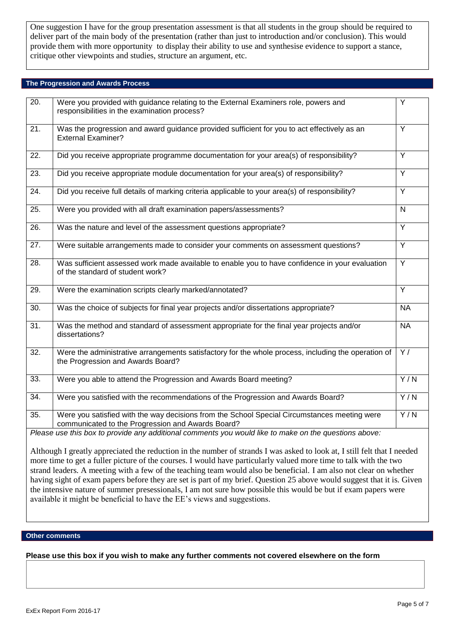One suggestion I have for the group presentation assessment is that all students in the group should be required to deliver part of the main body of the presentation (rather than just to introduction and/or conclusion). This would provide them with more opportunity to display their ability to use and synthesise evidence to support a stance, critique other viewpoints and studies, structure an argument, etc.

## **The Progression and Awards Process**

| 20.               | Were you provided with guidance relating to the External Examiners role, powers and<br>responsibilities in the examination process?               | Υ                |
|-------------------|---------------------------------------------------------------------------------------------------------------------------------------------------|------------------|
| 21.               | Was the progression and award guidance provided sufficient for you to act effectively as an<br><b>External Examiner?</b>                          | Y                |
| 22.               | Did you receive appropriate programme documentation for your area(s) of responsibility?                                                           | Y                |
| 23.               | Did you receive appropriate module documentation for your area(s) of responsibility?                                                              | Y                |
| $\overline{24}$ . | Did you receive full details of marking criteria applicable to your area(s) of responsibility?                                                    | Y                |
| 25.               | Were you provided with all draft examination papers/assessments?                                                                                  | N                |
| 26.               | Was the nature and level of the assessment questions appropriate?                                                                                 | $\overline{Y}$   |
| 27.               | Were suitable arrangements made to consider your comments on assessment questions?                                                                | $\overline{Y}$   |
| $\overline{28}$ . | Was sufficient assessed work made available to enable you to have confidence in your evaluation<br>of the standard of student work?               | $\overline{Y}$   |
| 29.               | Were the examination scripts clearly marked/annotated?                                                                                            | Y                |
| 30.               | Was the choice of subjects for final year projects and/or dissertations appropriate?                                                              | <b>NA</b>        |
| $\overline{31}$ . | Was the method and standard of assessment appropriate for the final year projects and/or<br>dissertations?                                        | <b>NA</b>        |
| $\overline{32}$ . | Were the administrative arrangements satisfactory for the whole process, including the operation of<br>the Progression and Awards Board?          | $\overline{Y}$   |
| 33.               | Were you able to attend the Progression and Awards Board meeting?                                                                                 | $\overline{Y/N}$ |
| 34.               | Were you satisfied with the recommendations of the Progression and Awards Board?                                                                  | Y/N              |
| $\overline{35}$ . | Were you satisfied with the way decisions from the School Special Circumstances meeting were<br>communicated to the Progression and Awards Board? | $\overline{Y/N}$ |
|                   | Please use this box to provide any additional comments you would like to make on the questions above:                                             |                  |

Although I greatly appreciated the reduction in the number of strands I was asked to look at, I still felt that I needed more time to get a fuller picture of the courses. I would have particularly valued more time to talk with the two strand leaders. A meeting with a few of the teaching team would also be beneficial. I am also not clear on whether having sight of exam papers before they are set is part of my brief. Question 25 above would suggest that it is. Given the intensive nature of summer presessionals, I am not sure how possible this would be but if exam papers were available it might be beneficial to have the EE's views and suggestions.

### **Other comments**

**Please use this box if you wish to make any further comments not covered elsewhere on the form**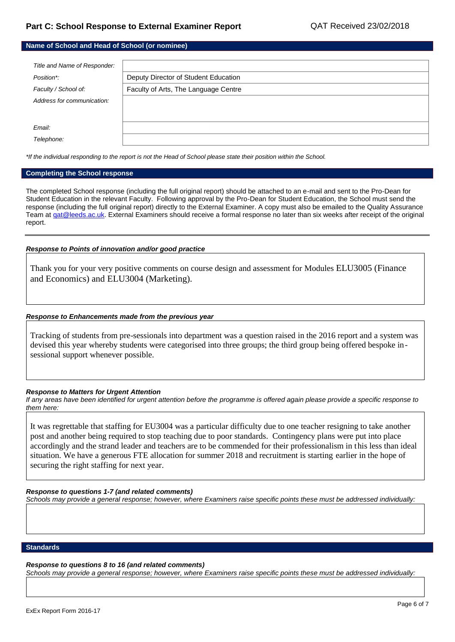| Name of School and Head of School (or nominee) |                                      |  |
|------------------------------------------------|--------------------------------------|--|
|                                                |                                      |  |
| Title and Name of Responder:                   |                                      |  |
| Position*:                                     | Deputy Director of Student Education |  |
| Faculty / School of:                           | Faculty of Arts, The Language Centre |  |
| Address for communication:                     |                                      |  |
|                                                |                                      |  |
| Email:                                         |                                      |  |
| Telephone:                                     |                                      |  |

*\*If the individual responding to the report is not the Head of School please state their position within the School.*

#### **Completing the School response**

The completed School response (including the full original report) should be attached to an e-mail and sent to the Pro-Dean for Student Education in the relevant Faculty. Following approval by the Pro-Dean for Student Education, the School must send the response (including the full original report) directly to the External Examiner. A copy must also be emailed to the Quality Assurance Team at gat@leeds.ac.uk. External Examiners should receive a formal response no later than six weeks after receipt of the original report.

#### *Response to Points of innovation and/or good practice*

Thank you for your very positive comments on course design and assessment for Modules ELU3005 (Finance and Economics) and ELU3004 (Marketing).

#### *Response to Enhancements made from the previous year*

Tracking of students from pre-sessionals into department was a question raised in the 2016 report and a system was devised this year whereby students were categorised into three groups; the third group being offered bespoke insessional support whenever possible.

#### *Response to Matters for Urgent Attention*

*If any areas have been identified for urgent attention before the programme is offered again please provide a specific response to them here:*

It was regrettable that staffing for EU3004 was a particular difficulty due to one teacher resigning to take another post and another being required to stop teaching due to poor standards. Contingency plans were put into place accordingly and the strand leader and teachers are to be commended for their professionalism in this less than ideal situation. We have a generous FTE allocation for summer 2018 and recruitment is starting earlier in the hope of securing the right staffing for next year.

#### *Response to questions 1-7 (and related comments)*

*Schools may provide a general response; however, where Examiners raise specific points these must be addressed individually:*

#### **Standards**

### *Response to questions 8 to 16 (and related comments)*

*Schools may provide a general response; however, where Examiners raise specific points these must be addressed individually:*